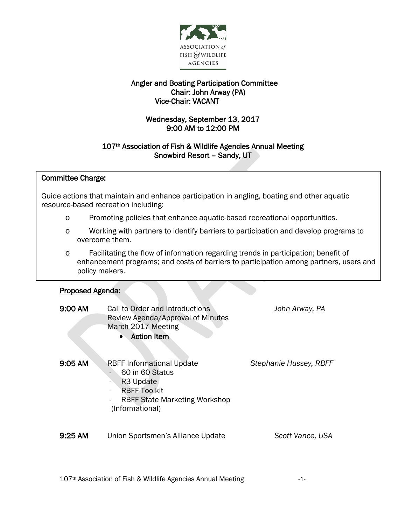

## Angler and Boating Participation Committee Chair: John Arway (PA) Vice-Chair: VACANT

# Wednesday, September 13, 2017 9:00 AM to 12:00 PM

## 107<sup>th</sup> Association of Fish & Wildlife Agencies Annual Meeting Snowbird Resort – Sandy, UT

#### $\overline{\phantom{a}}$ Committee Charge:

 Guide actions that maintain and enhance participation in angling, boating and other aquatic ้ resource-based recreation including:

- o Promoting policies that enhance aquatic-based recreational opportunities.
- o Working with partners to identify barriers to participation and develop programs to overcome them.
- o Facilitating the flow of information regarding trends in participation; benefit of enhancement programs; and costs of barriers to participation among partners, users and policy makers.

#### I Proposed Agenda:

| 9:00 AM   | Call to Order and Introductions<br>Review Agenda/Approval of Minutes<br>March 2017 Meeting<br><b>Action Item</b><br>$\bullet$                                  | John Arway, PA         |
|-----------|----------------------------------------------------------------------------------------------------------------------------------------------------------------|------------------------|
| 9:05 AM   | <b>RBFF Informational Update</b><br>60 in 60 Status<br>R <sub>3</sub> Update<br><b>RBFF Toolkit</b><br><b>RBFF State Marketing Workshop</b><br>(Informational) | Stephanie Hussey, RBFF |
| $9:25$ AM | Union Sportsmen's Alliance Update                                                                                                                              | Scott Vance, USA       |